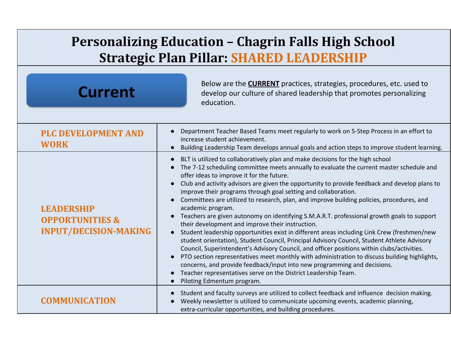## **Personalizing Education – Chagrin Falls High School Strategic Plan Pillar: SHARED LEADERSHIP**

| <b>Current</b>                                                                  | Below are the <b>CURRENT</b> practices, strategies, procedures, etc. used to<br>develop our culture of shared leadership that promotes personalizing<br>education.                                                                                                                                                                                                                                                                                                                                                                                                                                                                                                                                                                                                                                                                                                                                                                                                                                                                                                                                                                                                                                                                     |
|---------------------------------------------------------------------------------|----------------------------------------------------------------------------------------------------------------------------------------------------------------------------------------------------------------------------------------------------------------------------------------------------------------------------------------------------------------------------------------------------------------------------------------------------------------------------------------------------------------------------------------------------------------------------------------------------------------------------------------------------------------------------------------------------------------------------------------------------------------------------------------------------------------------------------------------------------------------------------------------------------------------------------------------------------------------------------------------------------------------------------------------------------------------------------------------------------------------------------------------------------------------------------------------------------------------------------------|
| <b>PLC DEVELOPMENT AND</b><br><b>WORK</b>                                       | Department Teacher Based Teams meet regularly to work on 5-Step Process in an effort to<br>increase student achievement.<br>Building Leadership Team develops annual goals and action steps to improve student learning.                                                                                                                                                                                                                                                                                                                                                                                                                                                                                                                                                                                                                                                                                                                                                                                                                                                                                                                                                                                                               |
| <b>LEADERSHIP</b><br><b>OPPORTUNITIES &amp;</b><br><b>INPUT/DECISION-MAKING</b> | BLT is utilized to collaboratively plan and make decisions for the high school<br>The 7-12 scheduling committee meets annually to evaluate the current master schedule and<br>offer ideas to improve it for the future.<br>Club and activity advisors are given the opportunity to provide feedback and develop plans to<br>improve their programs through goal setting and collaboration.<br>Committees are utilized to research, plan, and improve building policies, procedures, and<br>academic program.<br>Teachers are given autonomy on identifying S.M.A.R.T. professional growth goals to support<br>their development and improve their instruction.<br>Student leadership opportunities exist in different areas including Link Crew (freshmen/new<br>student orientation), Student Council, Principal Advisory Council, Student Athlete Advisory<br>Council, Superintendent's Advisory Council, and officer positions within clubs/activities.<br>PTO section representatives meet monthly with administration to discuss building highlights,<br>concerns, and provide feedback/input into new programming and decisions.<br>Teacher representatives serve on the District Leadership Team.<br>Piloting Edmentum program. |
| <b>COMMUNICATION</b>                                                            | Student and faculty surveys are utilized to collect feedback and influence decision making.<br>Weekly newsletter is utilized to communicate upcoming events, academic planning,<br>extra-curricular opportunities, and building procedures.                                                                                                                                                                                                                                                                                                                                                                                                                                                                                                                                                                                                                                                                                                                                                                                                                                                                                                                                                                                            |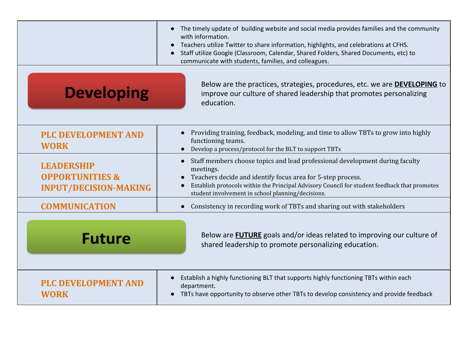|                                                                                 | The timely update of building website and social media provides families and the community<br>$\bullet$<br>with information.<br>Teachers utilize Twitter to share information, highlights, and celebrations at CFHS.<br>$\bullet$<br>Staff utilize Google (Classroom, Calendar, Shared Folders, Shared Documents, etc) to<br>$\bullet$<br>communicate with students, families, and colleagues. |
|---------------------------------------------------------------------------------|------------------------------------------------------------------------------------------------------------------------------------------------------------------------------------------------------------------------------------------------------------------------------------------------------------------------------------------------------------------------------------------------|
| <b>Developing</b>                                                               | Below are the practices, strategies, procedures, etc. we are <b>DEVELOPING</b> to<br>improve our culture of shared leadership that promotes personalizing<br>education.                                                                                                                                                                                                                        |
| <b>PLC DEVELOPMENT AND</b><br><b>WORK</b>                                       | Providing training, feedback, modeling, and time to allow TBTs to grow into highly<br>functioning teams.<br>Develop a process/protocol for the BLT to support TBTs                                                                                                                                                                                                                             |
| <b>LEADERSHIP</b><br><b>OPPORTUNITIES &amp;</b><br><b>INPUT/DECISION-MAKING</b> | Staff members choose topics and lead professional development during faculty<br>$\bullet$<br>meetings.<br>Teachers decide and identify focus area for 5-step process.<br>Establish protocols within the Principal Advisory Council for student feedback that promotes<br>student involvement in school planning/decisions.                                                                     |
| <b>COMMUNICATION</b>                                                            | Consistency in recording work of TBTs and sharing out with stakeholders                                                                                                                                                                                                                                                                                                                        |
| <b>Future</b>                                                                   | Below are <b>FUTURE</b> goals and/or ideas related to improving our culture of<br>shared leadership to promote personalizing education.                                                                                                                                                                                                                                                        |
| <b>PLC DEVELOPMENT AND</b><br><b>WORK</b>                                       | Establish a highly functioning BLT that supports highly functioning TBTs within each<br>$\bullet$<br>department.<br>TBTs have opportunity to observe other TBTs to develop consistency and provide feedback                                                                                                                                                                                    |
|                                                                                 |                                                                                                                                                                                                                                                                                                                                                                                                |